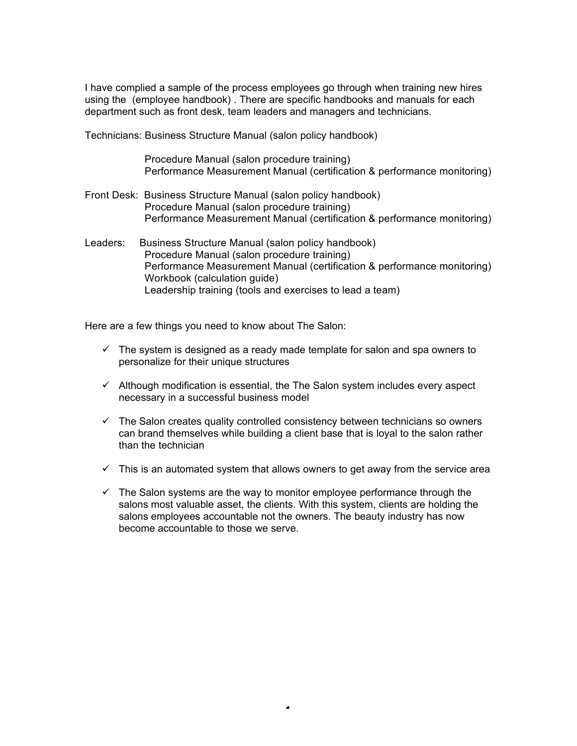I have complied a sample of the process employees go through when training new hires using the (employee handbook) . There are specific handbooks and manuals for each department such as front desk, team leaders and managers and technicians.

Technicians: Business Structure Manual (salon policy handbook)

 Procedure Manual (salon procedure training) Performance Measurement Manual (certification & performance monitoring)

- Front Desk: Business Structure Manual (salon policy handbook) Procedure Manual (salon procedure training) Performance Measurement Manual (certification & performance monitoring)
- Leaders: Business Structure Manual (salon policy handbook) Procedure Manual (salon procedure training) Performance Measurement Manual (certification & performance monitoring) Workbook (calculation guide) Leadership training (tools and exercises to lead a team)

Here are a few things you need to know about The Salon:

- $\checkmark$  The system is designed as a ready made template for salon and spa owners to personalize for their unique structures
- $\checkmark$  Although modification is essential, the The Salon system includes every aspect necessary in a successful business model
- $\checkmark$  The Salon creates quality controlled consistency between technicians so owners can brand themselves while building a client base that is loyal to the salon rather than the technician
- $\checkmark$  This is an automated system that allows owners to get away from the service area
- $\checkmark$  The Salon systems are the way to monitor emplovee performance through the salons most valuable asset, the clients. With this system, clients are holding the salons employees accountable not the owners. The beauty industry has now become accountable to those we serve.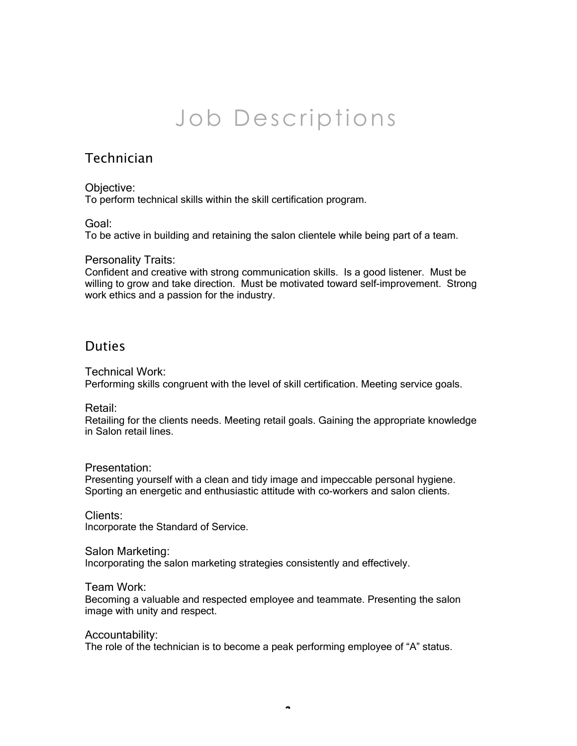# Job Descriptions

# Technician

# Objective:

To perform technical skills within the skill certification program.

# Goal:

To be active in building and retaining the salon clientele while being part of a team.

# Personality Traits:

Confident and creative with strong communication skills. Is a good listener. Must be willing to grow and take direction. Must be motivated toward self-improvement. Strong work ethics and a passion for the industry.

# **Duties**

# Technical Work:

Performing skills congruent with the level of skill certification. Meeting service goals.

# Retail:

Retailing for the clients needs. Meeting retail goals. Gaining the appropriate knowledge in Salon retail lines.

# Presentation:

Presenting yourself with a clean and tidy image and impeccable personal hygiene. Sporting an energetic and enthusiastic attitude with co-workers and salon clients.

# Clients:

Incorporate the Standard of Service.

# Salon Marketing:

Incorporating the salon marketing strategies consistently and effectively.

# Team Work:

Becoming a valuable and respected employee and teammate. Presenting the salon image with unity and respect.

#### Accountability:

The role of the technician is to become a peak performing employee of "A" status.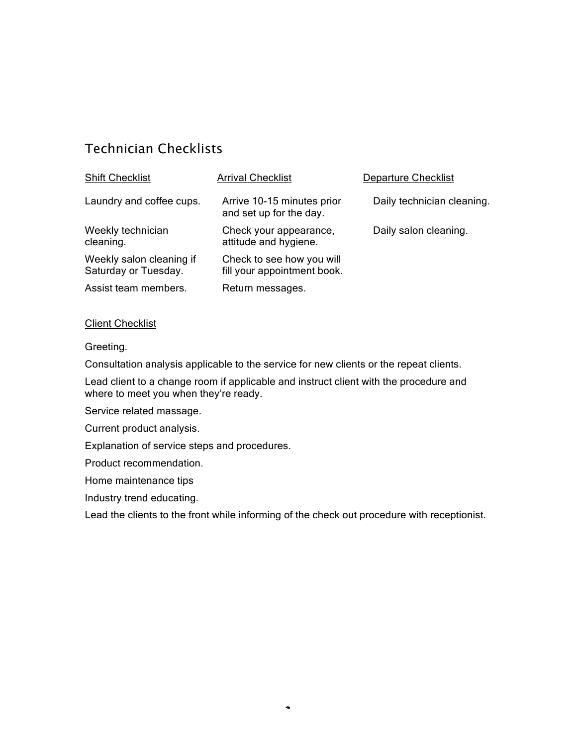# Technician Checklists

| <b>Shift Checklist</b>                           | <b>Arrival Checklist</b>                                 | <b>Departure Checklist</b> |
|--------------------------------------------------|----------------------------------------------------------|----------------------------|
| Laundry and coffee cups.                         | Arrive 10-15 minutes prior<br>and set up for the day.    | Daily technician cleaning. |
| Weekly technician<br>cleaning.                   | Check your appearance,<br>attitude and hygiene.          | Daily salon cleaning.      |
| Weekly salon cleaning if<br>Saturday or Tuesday. | Check to see how you will<br>fill your appointment book. |                            |
| Assist team members.                             | Return messages.                                         |                            |

### Client Checklist

Greeting.

Consultation analysis applicable to the service for new clients or the repeat clients.

Lead client to a change room if applicable and instruct client with the procedure and where to meet you when they're ready.

Service related massage.

Current product analysis.

Explanation of service steps and procedures.

Product recommendation.

Home maintenance tips

Industry trend educating.

Lead the clients to the front while informing of the check out procedure with receptionist.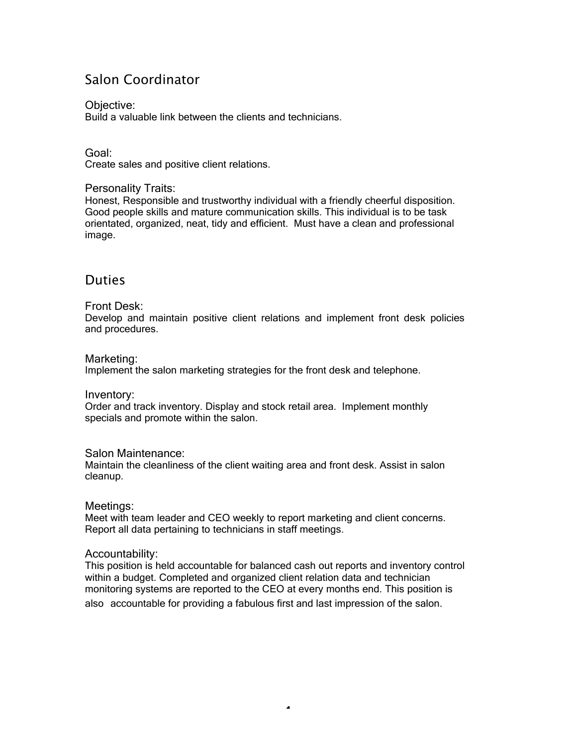# Salon Coordinator

# Objective:

Build a valuable link between the clients and technicians.

### Goal:

Create sales and positive client relations.

### Personality Traits:

Honest, Responsible and trustworthy individual with a friendly cheerful disposition. Good people skills and mature communication skills. This individual is to be task orientated, organized, neat, tidy and efficient. Must have a clean and professional image.

# **Duties**

# Front Desk:

Develop and maintain positive client relations and implement front desk policies and procedures.

#### Marketing:

Implement the salon marketing strategies for the front desk and telephone.

#### Inventory:

Order and track inventory. Display and stock retail area. Implement monthly specials and promote within the salon.

# Salon Maintenance:

Maintain the cleanliness of the client waiting area and front desk. Assist in salon cleanup.

# Meetings:

Meet with team leader and CEO weekly to report marketing and client concerns. Report all data pertaining to technicians in staff meetings.

# Accountability:

This position is held accountable for balanced cash out reports and inventory control within a budget. Completed and organized client relation data and technician monitoring systems are reported to the CEO at every months end. This position is also accountable for providing a fabulous first and last impression of the salon.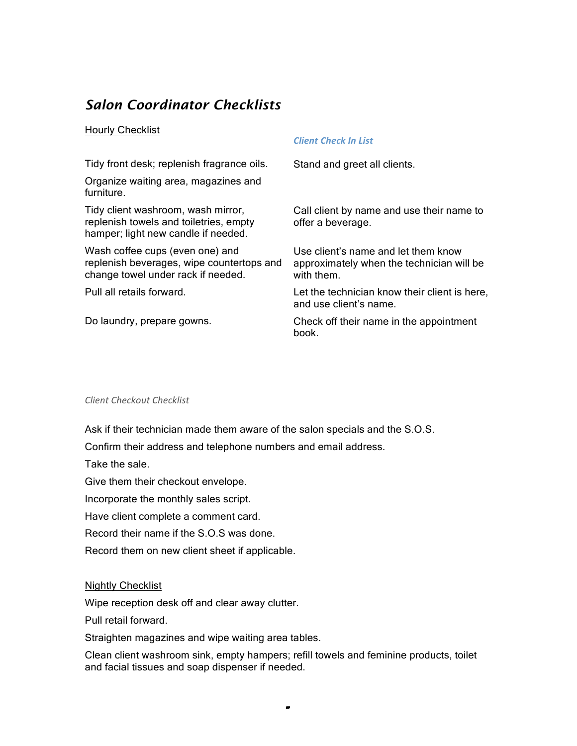# *Salon Coordinator Checklists*

### Hourly Checklist

| Tidy front desk; replenish fragrance oils.                                                                          | Stand and greet all clients.                                                                   |
|---------------------------------------------------------------------------------------------------------------------|------------------------------------------------------------------------------------------------|
| Organize waiting area, magazines and<br>furniture.                                                                  |                                                                                                |
| Tidy client washroom, wash mirror,<br>replenish towels and toiletries, empty<br>hamper; light new candle if needed. | Call client by name and use their name to<br>offer a beverage.                                 |
| Wash coffee cups (even one) and<br>replenish beverages, wipe countertops and<br>change towel under rack if needed.  | Use client's name and let them know<br>approximately when the technician will be<br>with them. |
| Pull all retails forward.                                                                                           | Let the technician know their client is here,<br>and use client's name.                        |
| Do laundry, prepare gowns.                                                                                          | Check off their name in the appointment<br>book.                                               |

*Client
Check
In
List*

#### Client Checkout Checklist

Ask if their technician made them aware of the salon specials and the S.O.S.

Confirm their address and telephone numbers and email address.

Take the sale.

Give them their checkout envelope.

Incorporate the monthly sales script.

Have client complete a comment card.

Record their name if the S.O.S was done.

Record them on new client sheet if applicable.

#### Nightly Checklist

Wipe reception desk off and clear away clutter.

Pull retail forward.

Straighten magazines and wipe waiting area tables.

Clean client washroom sink, empty hampers; refill towels and feminine products, toilet and facial tissues and soap dispenser if needed.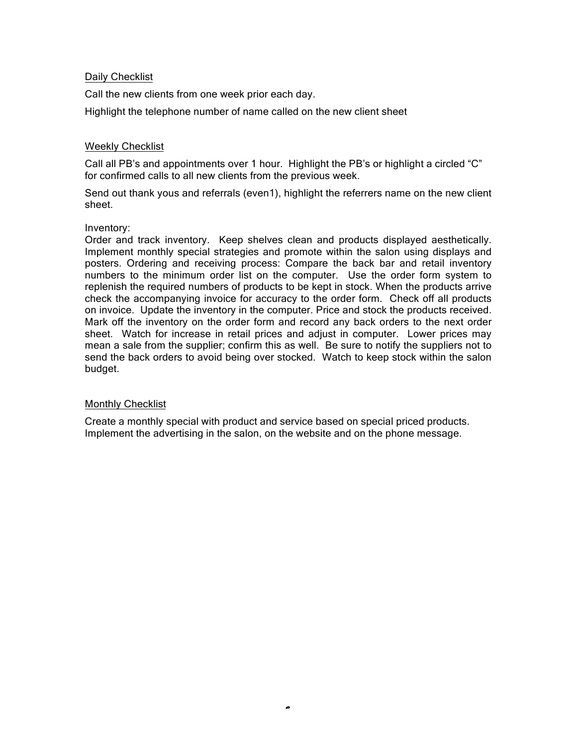### Daily Checklist

Call the new clients from one week prior each day.

Highlight the telephone number of name called on the new client sheet

### Weekly Checklist

Call all PB's and appointments over 1 hour. Highlight the PB's or highlight a circled "C" for confirmed calls to all new clients from the previous week.

Send out thank yous and referrals (even1), highlight the referrers name on the new client sheet.

#### Inventory:

Order and track inventory. Keep shelves clean and products displayed aesthetically. Implement monthly special strategies and promote within the salon using displays and posters. Ordering and receiving process: Compare the back bar and retail inventory numbers to the minimum order list on the computer. Use the order form system to replenish the required numbers of products to be kept in stock. When the products arrive check the accompanying invoice for accuracy to the order form. Check off all products on invoice. Update the inventory in the computer. Price and stock the products received. Mark off the inventory on the order form and record any back orders to the next order sheet. Watch for increase in retail prices and adjust in computer. Lower prices may mean a sale from the supplier; confirm this as well. Be sure to notify the suppliers not to send the back orders to avoid being over stocked. Watch to keep stock within the salon budget.

### Monthly Checklist

Create a monthly special with product and service based on special priced products. Implement the advertising in the salon, on the website and on the phone message.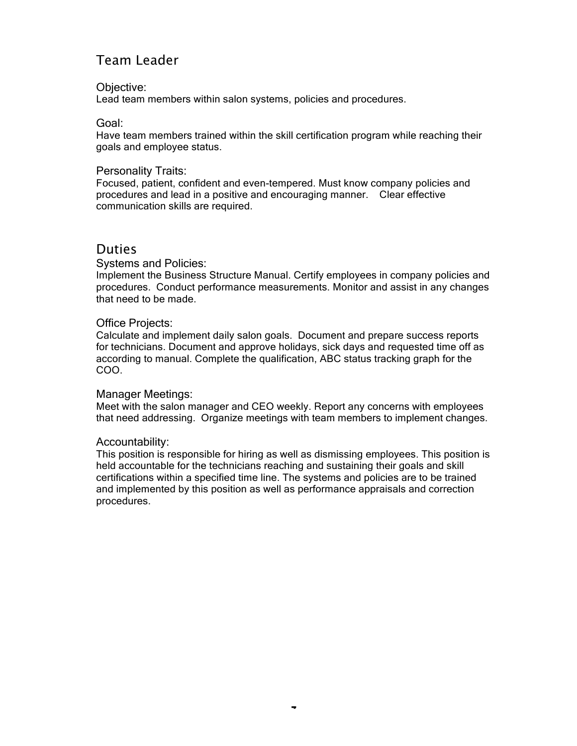# Team Leader

#### Objective:

Lead team members within salon systems, policies and procedures.

### Goal:

Have team members trained within the skill certification program while reaching their goals and employee status.

#### Personality Traits:

Focused, patient, confident and even-tempered. Must know company policies and procedures and lead in a positive and encouraging manner. Clear effective communication skills are required.

# Duties

### Systems and Policies:

Implement the Business Structure Manual. Certify employees in company policies and procedures. Conduct performance measurements. Monitor and assist in any changes that need to be made.

### Office Projects:

Calculate and implement daily salon goals. Document and prepare success reports for technicians. Document and approve holidays, sick days and requested time off as according to manual. Complete the qualification, ABC status tracking graph for the COO.

#### Manager Meetings:

Meet with the salon manager and CEO weekly. Report any concerns with employees that need addressing. Organize meetings with team members to implement changes.

# Accountability:

This position is responsible for hiring as well as dismissing employees. This position is held accountable for the technicians reaching and sustaining their goals and skill certifications within a specified time line. The systems and policies are to be trained and implemented by this position as well as performance appraisals and correction procedures.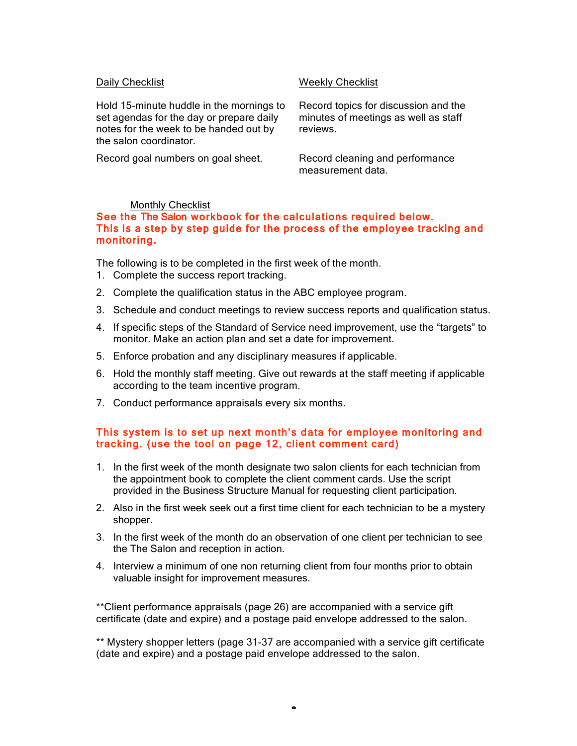Hold 15-minute huddle in the mornings to set agendas for the day or prepare daily notes for the week to be handed out by the salon coordinator.

Record goal numbers on goal sheet. Record cleaning and performance

### Daily Checklist Number of The Weekly Checklist

Record topics for discussion and the minutes of meetings as well as staff reviews.

measurement data.

### Monthly Checklist

### See the The Salon workbook for the calculations required below. This is a step by step guide for the process of the employee tracking and monitoring.

The following is to be completed in the first week of the month.

- 1. Complete the success report tracking.
- 2. Complete the qualification status in the ABC employee program.
- 3. Schedule and conduct meetings to review success reports and qualification status.
- 4. If specific steps of the Standard of Service need improvement, use the "targets" to monitor. Make an action plan and set a date for improvement.
- 5. Enforce probation and any disciplinary measures if applicable.
- 6. Hold the monthly staff meeting. Give out rewards at the staff meeting if applicable according to the team incentive program.
- 7. Conduct performance appraisals every six months.

# This system is to set up next month's data for employee monitoring and tracking. (use the tool on page 12, client comment card)

- 1. In the first week of the month designate two salon clients for each technician from the appointment book to complete the client comment cards. Use the script provided in the Business Structure Manual for requesting client participation.
- 2. Also in the first week seek out a first time client for each technician to be a mystery shopper.
- 3. In the first week of the month do an observation of one client per technician to see the The Salon and reception in action.
- 4. Interview a minimum of one non returning client from four months prior to obtain valuable insight for improvement measures.

\*\*Client performance appraisals (page 26) are accompanied with a service gift certificate (date and expire) and a postage paid envelope addressed to the salon.

\*\* Mystery shopper letters (page 31-37 are accompanied with a service gift certificate (date and expire) and a postage paid envelope addressed to the salon.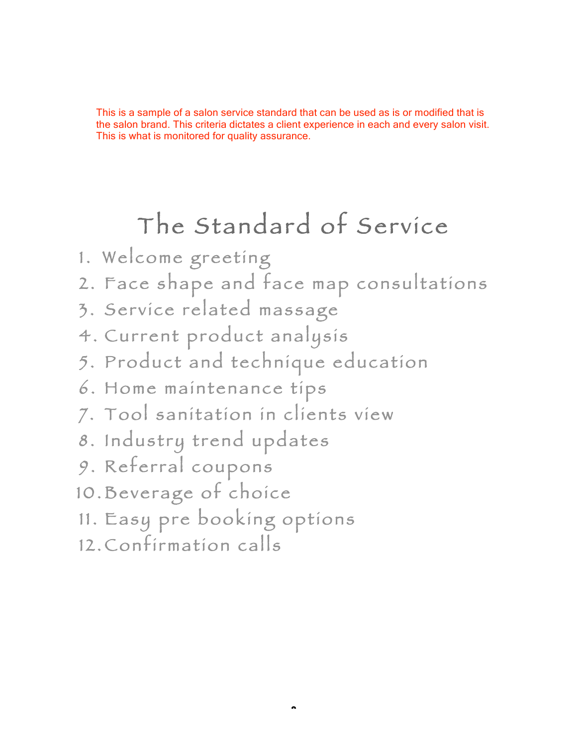This is a sample of a salon service standard that can be used as is or modified that is the salon brand. This criteria dictates a client experience in each and every salon visit. This is what is monitored for quality assurance.

# The Standard of Service

- 1. Welcome greeting
- 2 . Face shape and face map consultations
- 3 . Service related massage
- 4. Current product analysis
- 5 . Product and technique education
- 6 . Home maintenance tips
- 7. Tool sanitation in clients view
- 8. Industry trend updates
- 9. Referral coupons
- 10. Beverage of choice
- 11. Easy pre booking options
- 12. Confirmation calls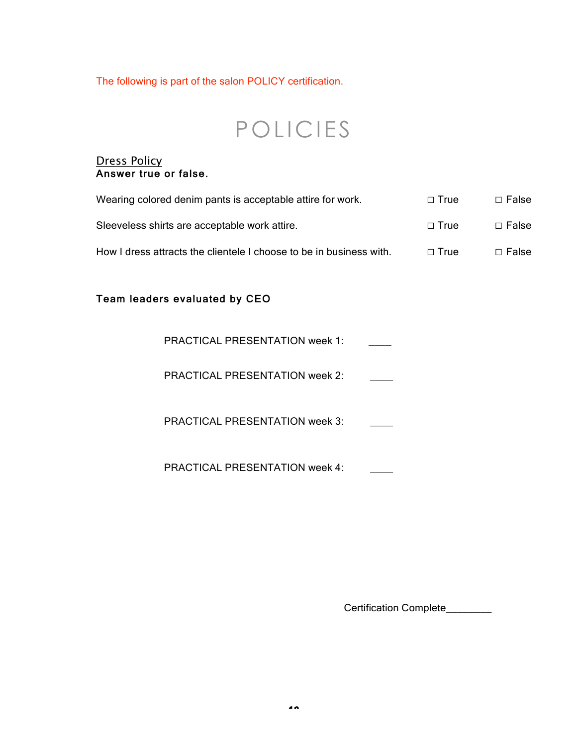The following is part of the salon POLICY certification.

# POLICIES

# Dress Policy Answer true or false.

| Wearing colored denim pants is acceptable attire for work.          | $\Box$ True | $\Box$ False |
|---------------------------------------------------------------------|-------------|--------------|
| Sleeveless shirts are acceptable work attire.                       | $\Box$ True | $\Box$ False |
| How I dress attracts the clientele I choose to be in business with. | $\Box$ True | $\Box$ False |

# Team leaders evaluated by CEO

| PRACTICAL PRESENTATION week 1: |  |
|--------------------------------|--|
|--------------------------------|--|

PRACTICAL PRESENTATION week 2: \_\_\_\_

PRACTICAL PRESENTATION week 3:

PRACTICAL PRESENTATION week 4:

Certification Complete\_\_\_\_\_\_\_\_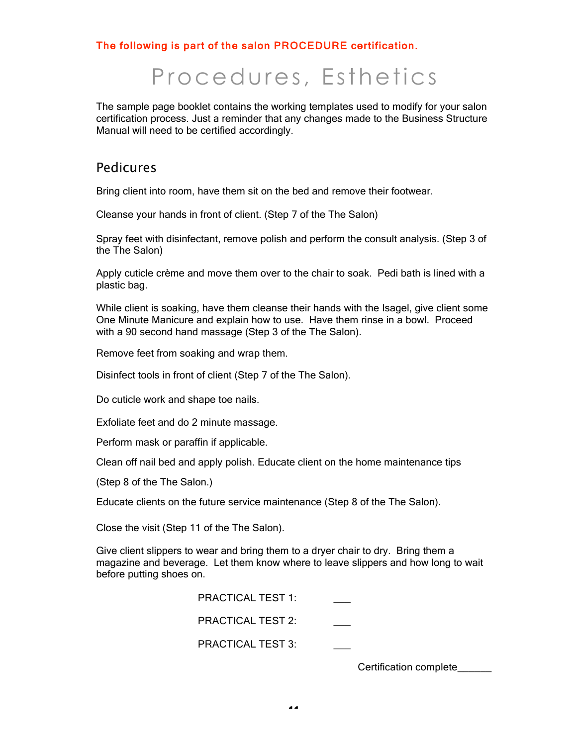# The following is part of the salon PROCEDURE certification.

# Procedures, Esthetics

The sample page booklet contains the working templates used to modify for your salon certification process. Just a reminder that any changes made to the Business Structure Manual will need to be certified accordingly.

# Pedicures

Bring client into room, have them sit on the bed and remove their footwear.

Cleanse your hands in front of client. (Step 7 of the The Salon)

Spray feet with disinfectant, remove polish and perform the consult analysis. (Step 3 of the The Salon)

Apply cuticle crème and move them over to the chair to soak. Pedi bath is lined with a plastic bag.

While client is soaking, have them cleanse their hands with the Isagel, give client some One Minute Manicure and explain how to use. Have them rinse in a bowl. Proceed with a 90 second hand massage (Step 3 of the The Salon).

Remove feet from soaking and wrap them.

Disinfect tools in front of client (Step 7 of the The Salon).

Do cuticle work and shape toe nails.

Exfoliate feet and do 2 minute massage.

Perform mask or paraffin if applicable.

Clean off nail bed and apply polish. Educate client on the home maintenance tips

(Step 8 of the The Salon.)

Educate clients on the future service maintenance (Step 8 of the The Salon).

Close the visit (Step 11 of the The Salon).

Give client slippers to wear and bring them to a dryer chair to dry. Bring them a magazine and beverage. Let them know where to leave slippers and how long to wait before putting shoes on.

> PRACTICAL TEST 1: PRACTICAL TEST 2: PRACTICAL TEST 3:

> > Certification complete\_\_\_\_\_\_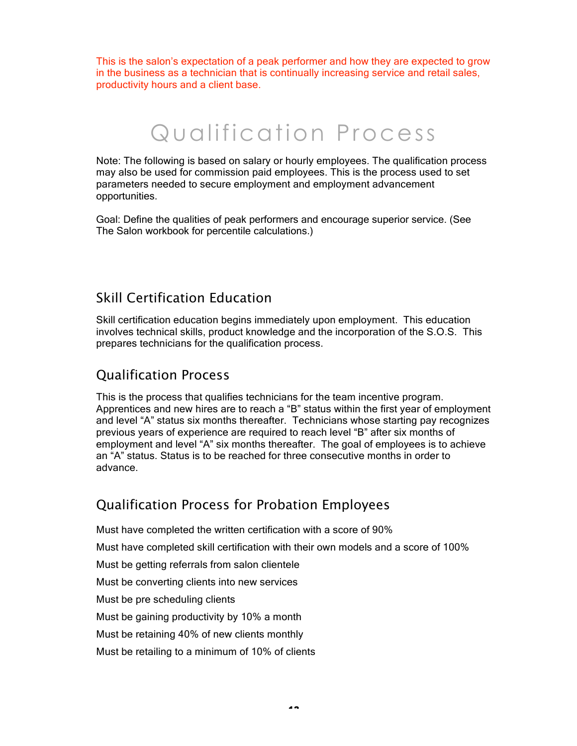This is the salon's expectation of a peak performer and how they are expected to grow in the business as a technician that is continually increasing service and retail sales, productivity hours and a client base.

# Qualification Process

Note: The following is based on salary or hourly employees. The qualification process may also be used for commission paid employees. This is the process used to set parameters needed to secure employment and employment advancement opportunities.

Goal: Define the qualities of peak performers and encourage superior service. (See The Salon workbook for percentile calculations.)

# Skill Certification Education

Skill certification education begins immediately upon employment. This education involves technical skills, product knowledge and the incorporation of the S.O.S. This prepares technicians for the qualification process.

# Qualification Process

This is the process that qualifies technicians for the team incentive program. Apprentices and new hires are to reach a "B" status within the first year of employment and level "A" status six months thereafter. Technicians whose starting pay recognizes previous years of experience are required to reach level "B" after six months of employment and level "A" six months thereafter. The goal of employees is to achieve an "A" status. Status is to be reached for three consecutive months in order to advance.

# Qualification Process for Probation Employees

Must have completed the written certification with a score of 90% Must have completed skill certification with their own models and a score of 100% Must be getting referrals from salon clientele Must be converting clients into new services Must be pre scheduling clients Must be gaining productivity by 10% a month Must be retaining 40% of new clients monthly Must be retailing to a minimum of 10% of clients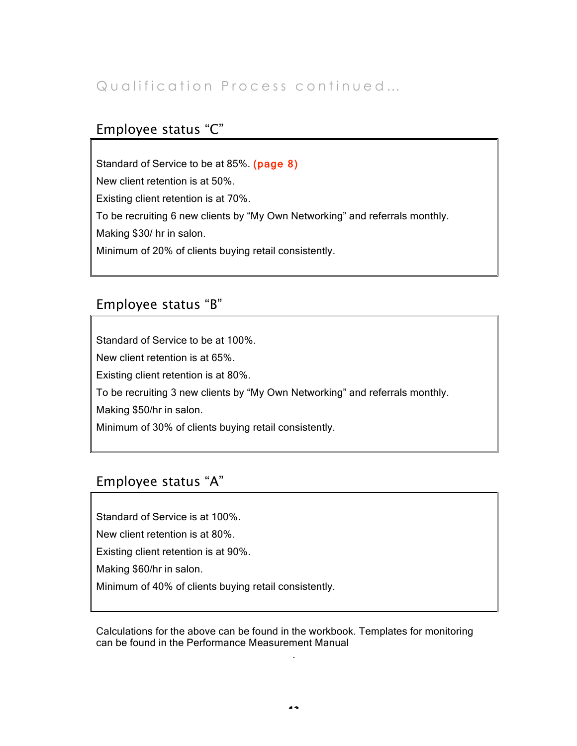# Qualification Process continued...

# Employee status "C"

Standard of Service to be at 85%. (page 8) New client retention is at 50%. Existing client retention is at 70%. To be recruiting 6 new clients by "My Own Networking" and referrals monthly. Making \$30/ hr in salon. Minimum of 20% of clients buying retail consistently.

# Employee status "B"

Standard of Service to be at 100%.

New client retention is at 65%.

Existing client retention is at 80%.

To be recruiting 3 new clients by "My Own Networking" and referrals monthly.

Making \$50/hr in salon.

Minimum of 30% of clients buying retail consistently.

# Employee status "A"

Standard of Service is at 100%.

New client retention is at 80%.

Existing client retention is at 90%.

Making \$60/hr in salon.

Minimum of 40% of clients buying retail consistently.

Calculations for the above can be found in the workbook. Templates for monitoring can be found in the Performance Measurement Manual

.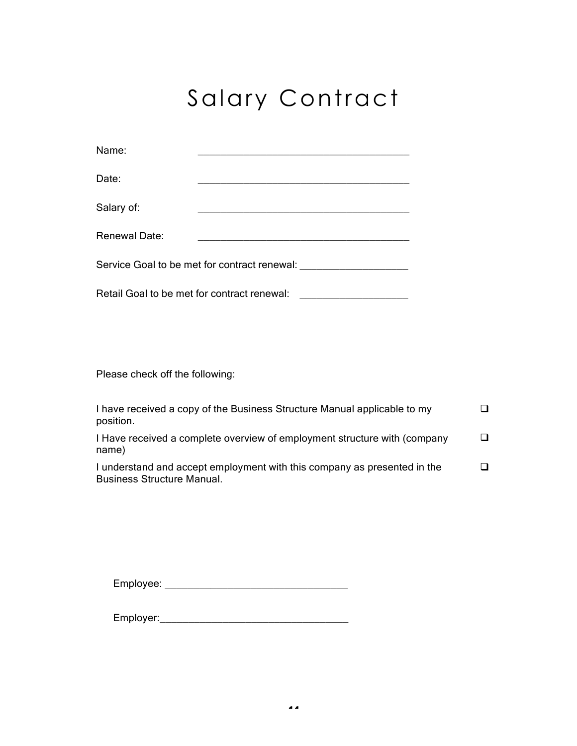# Salary Contract

| Name:                                        |  |  |  |
|----------------------------------------------|--|--|--|
| Date:                                        |  |  |  |
| Salary of:                                   |  |  |  |
| Renewal Date:                                |  |  |  |
| Service Goal to be met for contract renewal: |  |  |  |

Retail Goal to be met for contract renewal: \_\_\_\_\_\_\_\_\_\_\_\_\_\_\_\_\_\_\_

Please check off the following:

| I have received a copy of the Business Structure Manual applicable to my<br>position.                         |  |
|---------------------------------------------------------------------------------------------------------------|--|
| I Have received a complete overview of employment structure with (company<br>name)                            |  |
| I understand and accept employment with this company as presented in the<br><b>Business Structure Manual.</b> |  |

Employee: \_\_\_\_\_\_\_\_\_\_\_\_\_\_\_\_\_\_\_\_\_\_\_\_\_\_\_\_\_\_\_\_

Employer:\_\_\_\_\_\_\_\_\_\_\_\_\_\_\_\_\_\_\_\_\_\_\_\_\_\_\_\_\_\_\_\_\_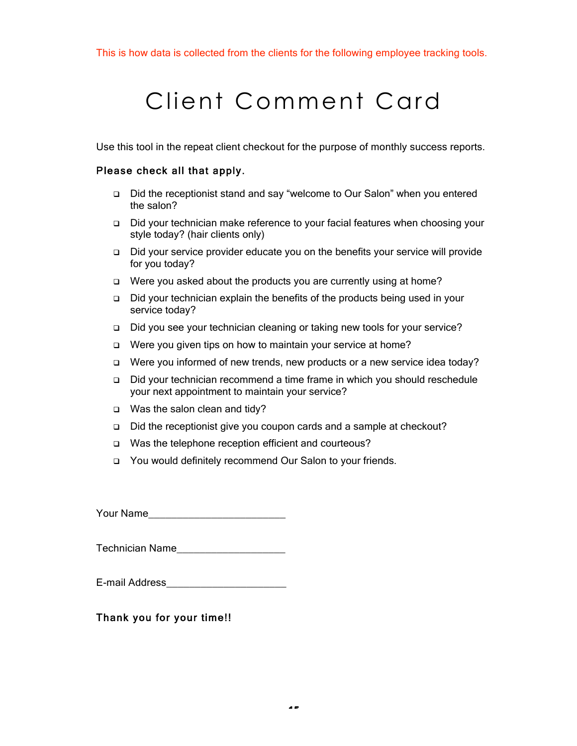# Client Comment Card

Use this tool in the repeat client checkout for the purpose of monthly success reports.

### Please check all that apply.

- Did the receptionist stand and say "welcome to Our Salon" when you entered the salon?
- □ Did your technician make reference to your facial features when choosing your style today? (hair clients only)
- Did your service provider educate you on the benefits your service will provide for you today?
- $\Box$  Were you asked about the products you are currently using at home?
- Did your technician explain the benefits of the products being used in your service today?
- Did you see your technician cleaning or taking new tools for your service?
- □ Were you given tips on how to maintain your service at home?
- □ Were you informed of new trends, new products or a new service idea today?
- Did your technician recommend a time frame in which you should reschedule your next appointment to maintain your service?
- Was the salon clean and tidy?
- □ Did the receptionist give you coupon cards and a sample at checkout?
- □ Was the telephone reception efficient and courteous?
- □ You would definitely recommend Our Salon to your friends.

Your Name\_\_\_\_\_\_\_\_\_\_\_\_\_\_\_\_\_\_\_\_\_\_\_\_

Technician Name

| E-mail Address |  |
|----------------|--|
|                |  |

Thank you for your time!!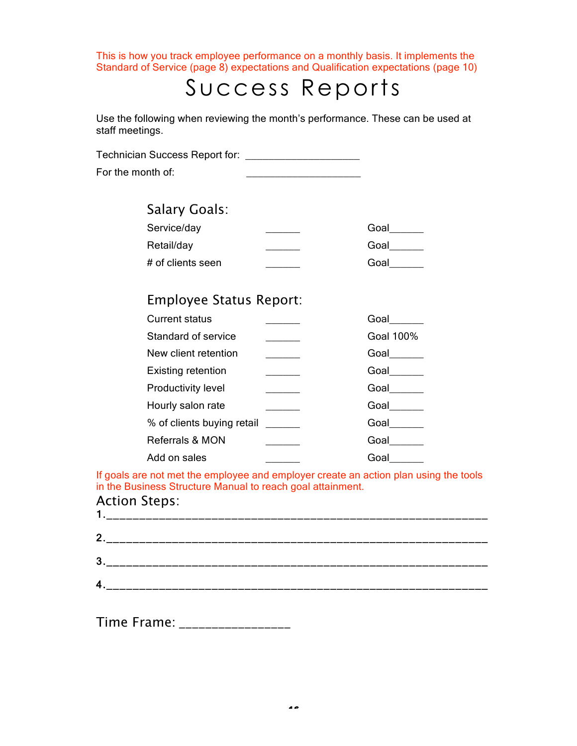This is how you track employee performance on a monthly basis. It implements the Standard of Service (page 8) expectations and Qualification expectations (page 10)

# Success Reports

Use the following when reviewing the month's performance. These can be used at staff meetings.

Technician Success Report for: \_\_\_\_\_\_\_\_\_\_\_\_\_\_\_\_\_\_\_\_

For the month of:  $\blacksquare$ 

# Salary Goals:

| Service/day       | Goal |
|-------------------|------|
| Retail/day        | Goal |
| # of clients seen | Goal |

# Employee Status Report:

| <b>Current status</b>      | Goal      |
|----------------------------|-----------|
| Standard of service        | Goal 100% |
| New client retention       | Goal      |
| <b>Existing retention</b>  | Goal      |
| <b>Productivity level</b>  | Goal      |
| Hourly salon rate          | Goal      |
| % of clients buying retail | Goal      |
| Referrals & MON            | Goal      |
| Add on sales               | Goa       |

If goals are not met the employee and employer create an action plan using the tools in the Business Structure Manual to reach goal attainment.

#### Action Steps: 1.  $\blacksquare$

| 2.                      | $\overline{\phantom{a}}$                                                                                               |
|-------------------------|------------------------------------------------------------------------------------------------------------------------|
| 3                       | والمستراسين المسارسين المسارسين المسارسين المسارسين المسارسين المسارسين المسارسين المسارسين المسارسين المسارسين المسار |
| $\overline{\mathbf{4}}$ |                                                                                                                        |

Time Frame: **We arrive that the Strutter**